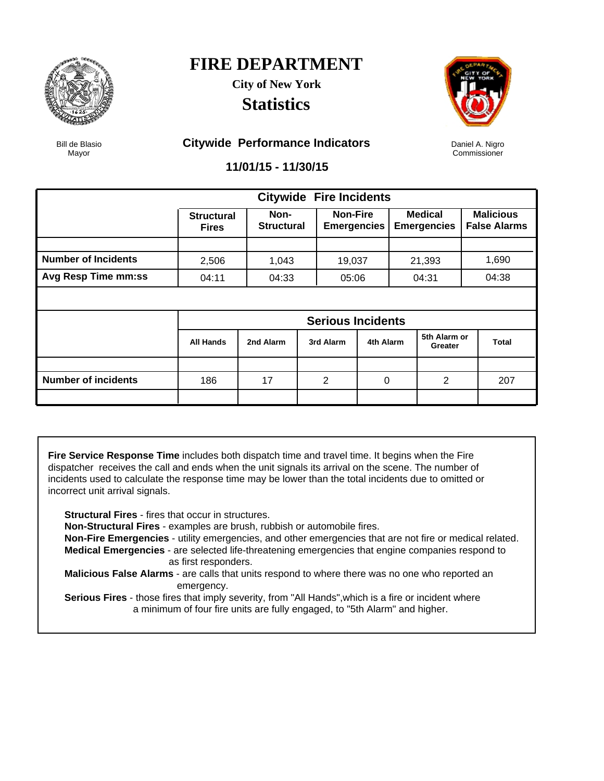

**City of New York Statistics**



Daniel A. Nigro Commissioner

Bill de Blasio Mayor

#### **Citywide Performance Indicators**

**11/01/15 - 11/30/15**

|                            |                                   | <b>Citywide Fire Incidents</b> |  |                                       |           |  |                               |  |                                         |  |
|----------------------------|-----------------------------------|--------------------------------|--|---------------------------------------|-----------|--|-------------------------------|--|-----------------------------------------|--|
|                            | <b>Structural</b><br><b>Fires</b> | Non-<br><b>Structural</b>      |  | <b>Non-Fire</b><br><b>Emergencies</b> |           |  | Medical<br><b>Emergencies</b> |  | <b>Malicious</b><br><b>False Alarms</b> |  |
|                            |                                   |                                |  |                                       |           |  |                               |  |                                         |  |
| <b>Number of Incidents</b> | 2,506                             | 1,043                          |  | 19,037                                |           |  | 21,393                        |  | 1,690                                   |  |
| Avg Resp Time mm:ss        | 04:11                             | 04:33                          |  | 05:06                                 |           |  | 04:31                         |  | 04:38                                   |  |
|                            |                                   |                                |  |                                       |           |  |                               |  |                                         |  |
|                            | <b>Serious Incidents</b>          |                                |  |                                       |           |  |                               |  |                                         |  |
|                            | <b>All Hands</b>                  | 2nd Alarm                      |  | 3rd Alarm                             | 4th Alarm |  | 5th Alarm or<br>Greater       |  | <b>Total</b>                            |  |
|                            |                                   |                                |  |                                       |           |  |                               |  |                                         |  |
| <b>Number of incidents</b> | 186                               | 17                             |  | $\overline{2}$                        | 0         |  | 2                             |  | 207                                     |  |
|                            |                                   |                                |  |                                       |           |  |                               |  |                                         |  |

**Fire Service Response Time** includes both dispatch time and travel time. It begins when the Fire dispatcher receives the call and ends when the unit signals its arrival on the scene. The number of incidents used to calculate the response time may be lower than the total incidents due to omitted or incorrect unit arrival signals.

**Structural Fires** - fires that occur in structures.

**Non-Structural Fires** - examples are brush, rubbish or automobile fires.

 **Non-Fire Emergencies** - utility emergencies, and other emergencies that are not fire or medical related. **Medical Emergencies** - are selected life-threatening emergencies that engine companies respond to as first responders.

 **Malicious False Alarms** - are calls that units respond to where there was no one who reported an emergency.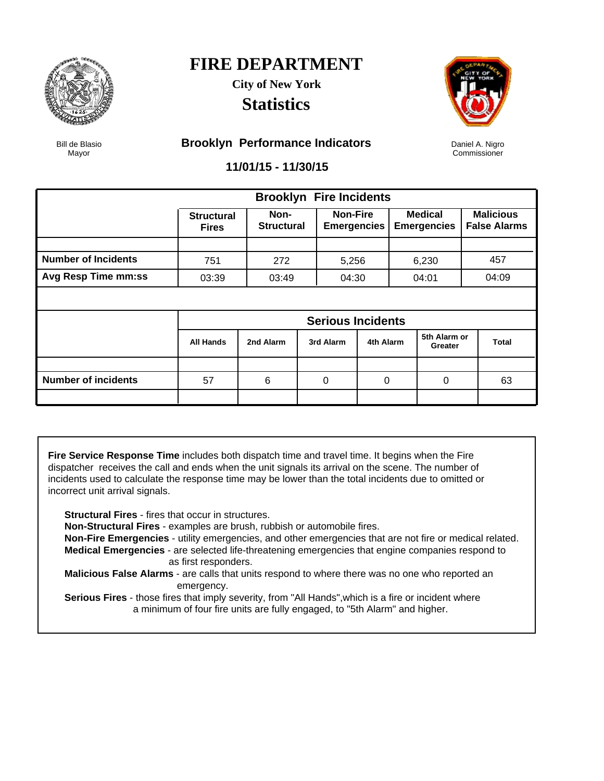

**City of New York Statistics**



Daniel A. Nigro Commissioner

Bill de Blasio Mayor

#### **Brooklyn Performance Indicators**

**11/01/15 - 11/30/15**

|                            |                                   | <b>Brooklyn Fire Incidents</b> |  |                                       |             |  |                                      |  |                                         |  |
|----------------------------|-----------------------------------|--------------------------------|--|---------------------------------------|-------------|--|--------------------------------------|--|-----------------------------------------|--|
|                            | <b>Structural</b><br><b>Fires</b> | Non-<br><b>Structural</b>      |  | <b>Non-Fire</b><br><b>Emergencies</b> |             |  | <b>Medical</b><br><b>Emergencies</b> |  | <b>Malicious</b><br><b>False Alarms</b> |  |
|                            |                                   |                                |  |                                       |             |  |                                      |  |                                         |  |
| <b>Number of Incidents</b> | 751                               | 272                            |  | 5,256                                 |             |  | 6,230                                |  | 457                                     |  |
| <b>Avg Resp Time mm:ss</b> | 03:39                             | 03:49                          |  | 04:30                                 |             |  | 04:01                                |  | 04:09                                   |  |
|                            |                                   |                                |  |                                       |             |  |                                      |  |                                         |  |
|                            | <b>Serious Incidents</b>          |                                |  |                                       |             |  |                                      |  |                                         |  |
|                            | <b>All Hands</b>                  | 2nd Alarm                      |  | 3rd Alarm                             | 4th Alarm   |  | 5th Alarm or<br>Greater              |  | <b>Total</b>                            |  |
|                            |                                   |                                |  |                                       |             |  |                                      |  |                                         |  |
| <b>Number of incidents</b> | 57                                | 6                              |  | 0                                     | $\mathbf 0$ |  | 0                                    |  | 63                                      |  |
|                            |                                   |                                |  |                                       |             |  |                                      |  |                                         |  |

**Fire Service Response Time** includes both dispatch time and travel time. It begins when the Fire dispatcher receives the call and ends when the unit signals its arrival on the scene. The number of incidents used to calculate the response time may be lower than the total incidents due to omitted or incorrect unit arrival signals.

**Structural Fires** - fires that occur in structures.

**Non-Structural Fires** - examples are brush, rubbish or automobile fires.

 **Non-Fire Emergencies** - utility emergencies, and other emergencies that are not fire or medical related. **Medical Emergencies** - are selected life-threatening emergencies that engine companies respond to as first responders.

 **Malicious False Alarms** - are calls that units respond to where there was no one who reported an emergency.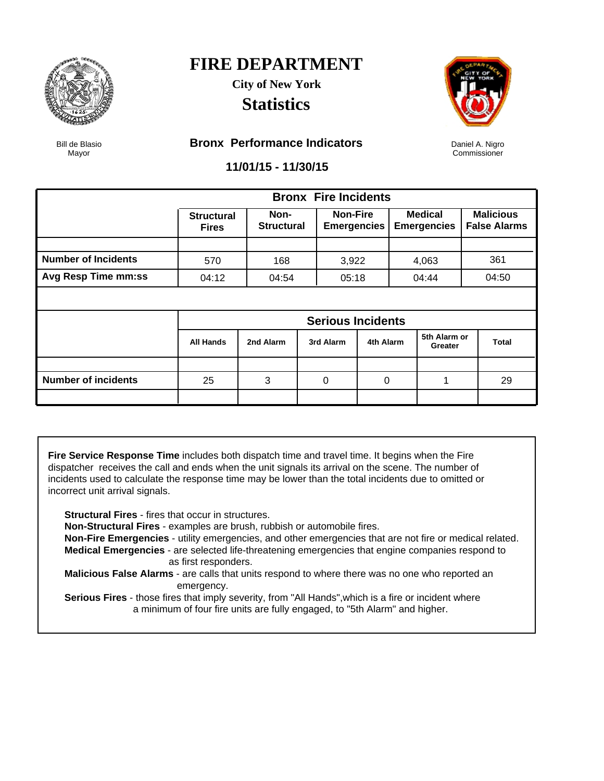

### **FIRE DEPARTMENT City of New York**

**Statistics**



Daniel A. Nigro Commissioner

Bill de Blasio Mayor

#### **Bronx Performance Indicators**

**11/01/15 - 11/30/15**

|                            |                                   |                           |  | <b>Bronx Fire Incidents</b>           |           |  |                                      |  |                                         |  |
|----------------------------|-----------------------------------|---------------------------|--|---------------------------------------|-----------|--|--------------------------------------|--|-----------------------------------------|--|
|                            | <b>Structural</b><br><b>Fires</b> | Non-<br><b>Structural</b> |  | <b>Non-Fire</b><br><b>Emergencies</b> |           |  | <b>Medical</b><br><b>Emergencies</b> |  | <b>Malicious</b><br><b>False Alarms</b> |  |
|                            |                                   |                           |  |                                       |           |  |                                      |  |                                         |  |
| <b>Number of Incidents</b> | 570                               | 168                       |  | 3,922                                 |           |  | 4,063                                |  | 361                                     |  |
| <b>Avg Resp Time mm:ss</b> | 04:12                             | 04:54                     |  | 05:18                                 |           |  | 04:44                                |  | 04:50                                   |  |
|                            |                                   |                           |  |                                       |           |  |                                      |  |                                         |  |
|                            | <b>Serious Incidents</b>          |                           |  |                                       |           |  |                                      |  |                                         |  |
|                            | All Hands                         | 2nd Alarm                 |  | 3rd Alarm                             | 4th Alarm |  | 5th Alarm or<br>Greater              |  | <b>Total</b>                            |  |
|                            |                                   |                           |  |                                       |           |  |                                      |  |                                         |  |
| <b>Number of incidents</b> | 25                                | 3                         |  | 0                                     | 0         |  | 1                                    |  | 29                                      |  |
|                            |                                   |                           |  |                                       |           |  |                                      |  |                                         |  |

**Fire Service Response Time** includes both dispatch time and travel time. It begins when the Fire dispatcher receives the call and ends when the unit signals its arrival on the scene. The number of incidents used to calculate the response time may be lower than the total incidents due to omitted or incorrect unit arrival signals.

**Structural Fires** - fires that occur in structures.

**Non-Structural Fires** - examples are brush, rubbish or automobile fires.

 **Non-Fire Emergencies** - utility emergencies, and other emergencies that are not fire or medical related. **Medical Emergencies** - are selected life-threatening emergencies that engine companies respond to as first responders.

 **Malicious False Alarms** - are calls that units respond to where there was no one who reported an emergency.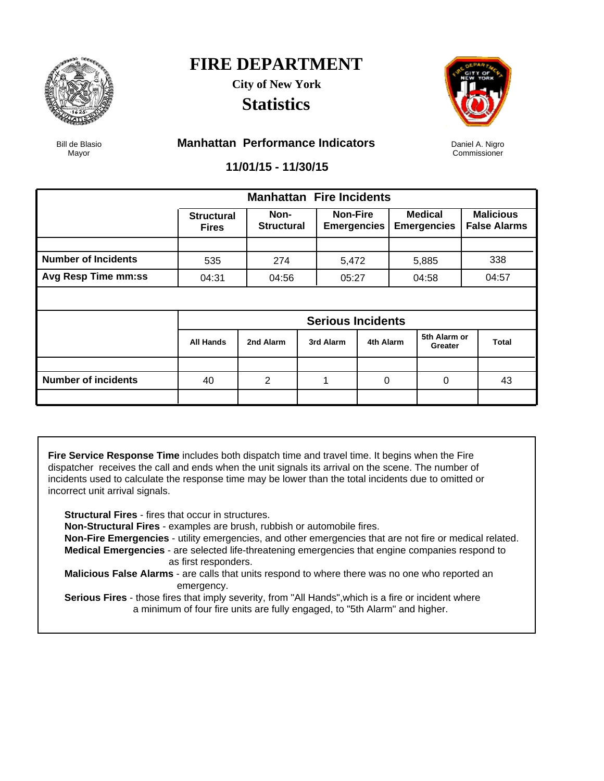

### **FIRE DEPARTMENT City of New York**

**Statistics**



Daniel A. Nigro Commissioner

Bill de Blasio Mayor

#### **Manhattan Performance Indicators**

**11/01/15 - 11/30/15**

|                            |                                   | <b>Manhattan Fire Incidents</b> |  |                                       |             |  |                                      |  |                                         |  |
|----------------------------|-----------------------------------|---------------------------------|--|---------------------------------------|-------------|--|--------------------------------------|--|-----------------------------------------|--|
|                            | <b>Structural</b><br><b>Fires</b> | Non-<br><b>Structural</b>       |  | <b>Non-Fire</b><br><b>Emergencies</b> |             |  | <b>Medical</b><br><b>Emergencies</b> |  | <b>Malicious</b><br><b>False Alarms</b> |  |
|                            |                                   |                                 |  |                                       |             |  |                                      |  |                                         |  |
| <b>Number of Incidents</b> | 535                               | 274                             |  | 5,472                                 |             |  | 5,885                                |  | 338                                     |  |
| <b>Avg Resp Time mm:ss</b> | 04:31                             | 04:56                           |  | 05:27                                 |             |  | 04:58                                |  | 04:57                                   |  |
|                            |                                   |                                 |  |                                       |             |  |                                      |  |                                         |  |
|                            | <b>Serious Incidents</b>          |                                 |  |                                       |             |  |                                      |  |                                         |  |
|                            | <b>All Hands</b>                  | 2nd Alarm                       |  | 3rd Alarm                             | 4th Alarm   |  | 5th Alarm or<br>Greater              |  | <b>Total</b>                            |  |
|                            |                                   |                                 |  |                                       |             |  |                                      |  |                                         |  |
| <b>Number of incidents</b> | 40                                | 2                               |  | 1                                     | $\mathbf 0$ |  | $\mathbf 0$                          |  | 43                                      |  |
|                            |                                   |                                 |  |                                       |             |  |                                      |  |                                         |  |

**Fire Service Response Time** includes both dispatch time and travel time. It begins when the Fire dispatcher receives the call and ends when the unit signals its arrival on the scene. The number of incidents used to calculate the response time may be lower than the total incidents due to omitted or incorrect unit arrival signals.

**Structural Fires** - fires that occur in structures.

**Non-Structural Fires** - examples are brush, rubbish or automobile fires.

 **Non-Fire Emergencies** - utility emergencies, and other emergencies that are not fire or medical related. **Medical Emergencies** - are selected life-threatening emergencies that engine companies respond to as first responders.

 **Malicious False Alarms** - are calls that units respond to where there was no one who reported an emergency.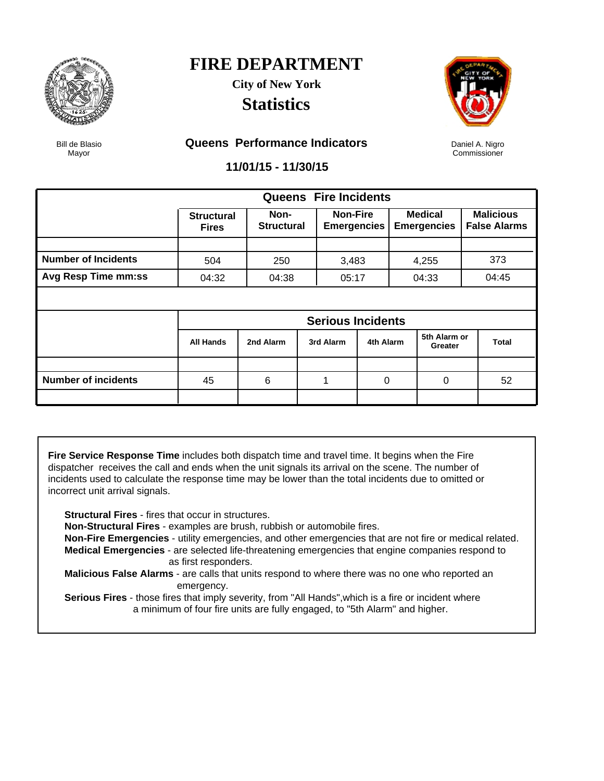

**City of New York Statistics**



Daniel A. Nigro Commissioner

Bill de Blasio Mayor

#### **Queens Performance Indicators**

**11/01/15 - 11/30/15**

|                            |                                   |                           |  | <b>Queens Fire Incidents</b>          |           |  |                                      |  |                                         |  |
|----------------------------|-----------------------------------|---------------------------|--|---------------------------------------|-----------|--|--------------------------------------|--|-----------------------------------------|--|
|                            | <b>Structural</b><br><b>Fires</b> | Non-<br><b>Structural</b> |  | <b>Non-Fire</b><br><b>Emergencies</b> |           |  | <b>Medical</b><br><b>Emergencies</b> |  | <b>Malicious</b><br><b>False Alarms</b> |  |
|                            |                                   |                           |  |                                       |           |  |                                      |  |                                         |  |
| <b>Number of Incidents</b> | 504                               | 250                       |  | 3,483                                 |           |  | 4,255                                |  | 373                                     |  |
| Avg Resp Time mm:ss        | 04:32                             | 04:38                     |  | 05:17                                 |           |  | 04:33                                |  | 04:45                                   |  |
|                            |                                   |                           |  |                                       |           |  |                                      |  |                                         |  |
|                            | <b>Serious Incidents</b>          |                           |  |                                       |           |  |                                      |  |                                         |  |
|                            | <b>All Hands</b>                  | 2nd Alarm                 |  | 3rd Alarm                             | 4th Alarm |  | 5th Alarm or<br>Greater              |  | <b>Total</b>                            |  |
|                            |                                   |                           |  |                                       |           |  |                                      |  |                                         |  |
| <b>Number of incidents</b> | 45                                | 6                         |  | 1                                     | 0         |  | 0                                    |  | 52                                      |  |
|                            |                                   |                           |  |                                       |           |  |                                      |  |                                         |  |

**Fire Service Response Time** includes both dispatch time and travel time. It begins when the Fire dispatcher receives the call and ends when the unit signals its arrival on the scene. The number of incidents used to calculate the response time may be lower than the total incidents due to omitted or incorrect unit arrival signals.

**Structural Fires** - fires that occur in structures.

**Non-Structural Fires** - examples are brush, rubbish or automobile fires.

 **Non-Fire Emergencies** - utility emergencies, and other emergencies that are not fire or medical related. **Medical Emergencies** - are selected life-threatening emergencies that engine companies respond to as first responders.

 **Malicious False Alarms** - are calls that units respond to where there was no one who reported an emergency.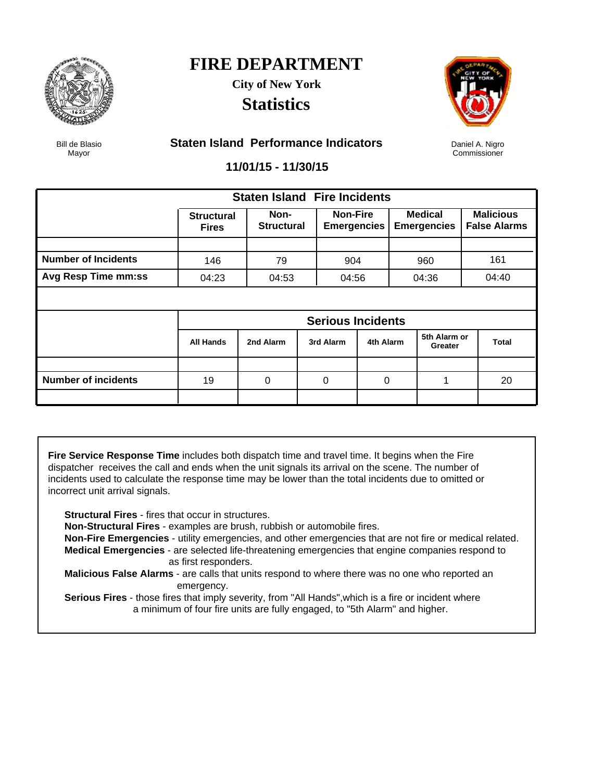

### **FIRE DEPARTMENT City of New York**

**Statistics**



Daniel A. Nigro Commissioner

Bill de Blasio Mayor

#### **Staten Island Performance Indicators**

**11/01/15 - 11/30/15**

|                            |                                   | <b>Staten Island Fire Incidents</b> |  |                                       |             |  |                                      |  |                                         |  |
|----------------------------|-----------------------------------|-------------------------------------|--|---------------------------------------|-------------|--|--------------------------------------|--|-----------------------------------------|--|
|                            | <b>Structural</b><br><b>Fires</b> | Non-<br><b>Structural</b>           |  | <b>Non-Fire</b><br><b>Emergencies</b> |             |  | <b>Medical</b><br><b>Emergencies</b> |  | <b>Malicious</b><br><b>False Alarms</b> |  |
|                            |                                   |                                     |  |                                       |             |  |                                      |  |                                         |  |
| <b>Number of Incidents</b> | 146                               | 79                                  |  | 904                                   |             |  | 960                                  |  | 161                                     |  |
| Avg Resp Time mm:ss        | 04:23                             | 04:53                               |  | 04:56                                 |             |  | 04:36                                |  | 04:40                                   |  |
|                            |                                   |                                     |  |                                       |             |  |                                      |  |                                         |  |
|                            | <b>Serious Incidents</b>          |                                     |  |                                       |             |  |                                      |  |                                         |  |
|                            | <b>All Hands</b>                  | 2nd Alarm                           |  | 3rd Alarm                             | 4th Alarm   |  | 5th Alarm or<br>Greater              |  | <b>Total</b>                            |  |
|                            |                                   |                                     |  |                                       |             |  |                                      |  |                                         |  |
| <b>Number of incidents</b> | 19                                | 0                                   |  | 0                                     | $\mathbf 0$ |  | 1                                    |  | 20                                      |  |
|                            |                                   |                                     |  |                                       |             |  |                                      |  |                                         |  |

**Fire Service Response Time** includes both dispatch time and travel time. It begins when the Fire dispatcher receives the call and ends when the unit signals its arrival on the scene. The number of incidents used to calculate the response time may be lower than the total incidents due to omitted or incorrect unit arrival signals.

**Structural Fires** - fires that occur in structures.

**Non-Structural Fires** - examples are brush, rubbish or automobile fires.

 **Non-Fire Emergencies** - utility emergencies, and other emergencies that are not fire or medical related. **Medical Emergencies** - are selected life-threatening emergencies that engine companies respond to as first responders.

 **Malicious False Alarms** - are calls that units respond to where there was no one who reported an emergency.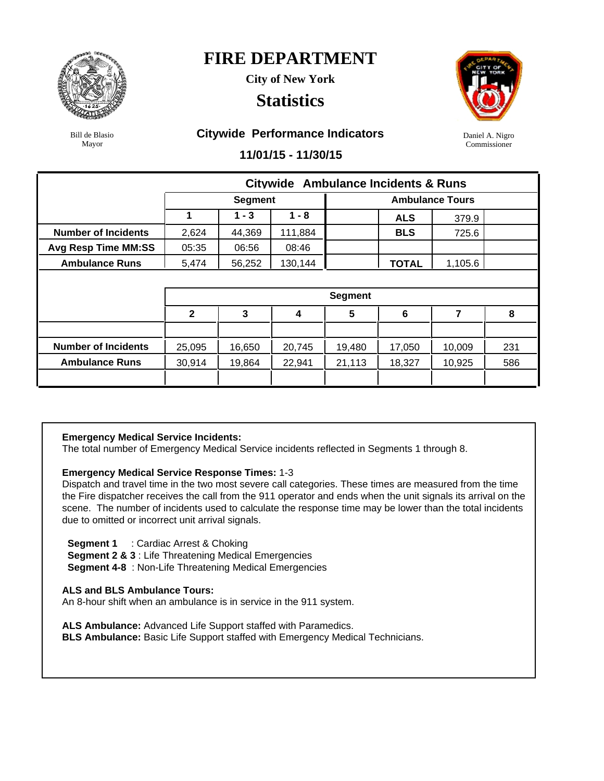

**City of New York**

### **Statistics**



Daniel A. Nigro Commissioner

Bill de Blasio Mayor

#### **Citywide Performance Indicators**

**11/01/15 - 11/30/15**

|                            |              |                |         | <b>Citywide Ambulance Incidents &amp; Runs</b> |              |                        |     |  |  |  |
|----------------------------|--------------|----------------|---------|------------------------------------------------|--------------|------------------------|-----|--|--|--|
|                            |              | <b>Segment</b> |         |                                                |              | <b>Ambulance Tours</b> |     |  |  |  |
|                            |              | $1 - 3$        | $1 - 8$ |                                                | <b>ALS</b>   | 379.9                  |     |  |  |  |
| <b>Number of Incidents</b> | 2,624        | 44,369         | 111,884 |                                                | <b>BLS</b>   | 725.6                  |     |  |  |  |
| <b>Avg Resp Time MM:SS</b> | 05:35        | 06:56          | 08:46   |                                                |              |                        |     |  |  |  |
| <b>Ambulance Runs</b>      | 5,474        | 56,252         | 130,144 |                                                | <b>TOTAL</b> | 1,105.6                |     |  |  |  |
|                            |              |                |         |                                                |              |                        |     |  |  |  |
|                            |              |                |         | <b>Segment</b>                                 |              |                        |     |  |  |  |
|                            | $\mathbf{2}$ | 3              | 4       | $5\phantom{1}$                                 | 6            | 7                      | 8   |  |  |  |
|                            |              |                |         |                                                |              |                        |     |  |  |  |
| <b>Number of Incidents</b> | 25,095       | 16,650         | 20,745  | 19,480                                         | 17,050       | 10,009                 | 231 |  |  |  |
| <b>Ambulance Runs</b>      | 30,914       | 19,864         | 22,941  | 21,113                                         | 18,327       | 10,925                 | 586 |  |  |  |
|                            |              |                |         |                                                |              |                        |     |  |  |  |

#### **Emergency Medical Service Incidents:**

The total number of Emergency Medical Service incidents reflected in Segments 1 through 8.

#### **Emergency Medical Service Response Times:** 1-3

Dispatch and travel time in the two most severe call categories. These times are measured from the time the Fire dispatcher receives the call from the 911 operator and ends when the unit signals its arrival on the scene. The number of incidents used to calculate the response time may be lower than the total incidents due to omitted or incorrect unit arrival signals.

 **Segment 1** : Cardiac Arrest & Choking

**Segment 2 & 3** : Life Threatening Medical Emergencies

**Segment 4-8** : Non-Life Threatening Medical Emergencies

#### **ALS and BLS Ambulance Tours:**

An 8-hour shift when an ambulance is in service in the 911 system.

**ALS Ambulance:** Advanced Life Support staffed with Paramedics.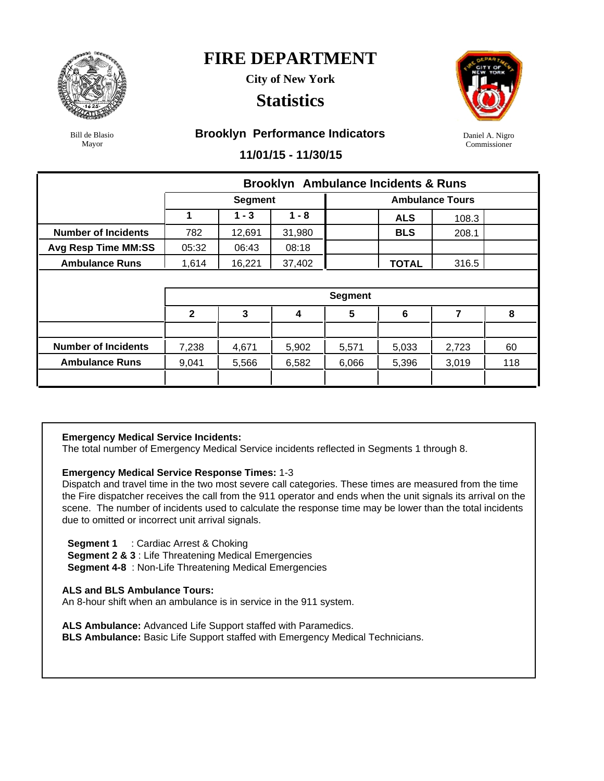

**City of New York**

### **Statistics**



Daniel A. Nigro Commissioner

Bill de Blasio Mayor

#### **Brooklyn Performance Indicators**

**11/01/15 - 11/30/15**

|                            |              | <b>Brooklyn</b> Ambulance Incidents & Runs |         |                |              |                        |     |  |  |  |  |  |  |
|----------------------------|--------------|--------------------------------------------|---------|----------------|--------------|------------------------|-----|--|--|--|--|--|--|
|                            |              | <b>Segment</b>                             |         |                |              | <b>Ambulance Tours</b> |     |  |  |  |  |  |  |
|                            | 1            | $1 - 3$                                    | $1 - 8$ |                | <b>ALS</b>   | 108.3                  |     |  |  |  |  |  |  |
| <b>Number of Incidents</b> | 782          | 12,691                                     | 31,980  |                | <b>BLS</b>   | 208.1                  |     |  |  |  |  |  |  |
| <b>Avg Resp Time MM:SS</b> | 05:32        | 06:43                                      | 08:18   |                |              |                        |     |  |  |  |  |  |  |
| <b>Ambulance Runs</b>      | 1,614        | 16,221                                     | 37,402  |                | <b>TOTAL</b> | 316.5                  |     |  |  |  |  |  |  |
|                            |              |                                            |         |                |              |                        |     |  |  |  |  |  |  |
|                            |              |                                            |         | <b>Segment</b> |              |                        |     |  |  |  |  |  |  |
|                            | $\mathbf{2}$ | 3                                          | 4       | $5\phantom{1}$ | 6            | 7                      | 8   |  |  |  |  |  |  |
|                            |              |                                            |         |                |              |                        |     |  |  |  |  |  |  |
| <b>Number of Incidents</b> | 7,238        | 4,671                                      | 5,902   | 5,571          | 5,033        | 2,723                  | 60  |  |  |  |  |  |  |
| <b>Ambulance Runs</b>      | 9,041        | 5,566                                      | 6,582   | 6,066          | 5,396        | 3,019                  | 118 |  |  |  |  |  |  |
|                            |              |                                            |         |                |              |                        |     |  |  |  |  |  |  |

#### **Emergency Medical Service Incidents:**

The total number of Emergency Medical Service incidents reflected in Segments 1 through 8.

#### **Emergency Medical Service Response Times:** 1-3

Dispatch and travel time in the two most severe call categories. These times are measured from the time the Fire dispatcher receives the call from the 911 operator and ends when the unit signals its arrival on the scene. The number of incidents used to calculate the response time may be lower than the total incidents due to omitted or incorrect unit arrival signals.

 **Segment 1** : Cardiac Arrest & Choking

**Segment 2 & 3** : Life Threatening Medical Emergencies

**Segment 4-8** : Non-Life Threatening Medical Emergencies

#### **ALS and BLS Ambulance Tours:**

An 8-hour shift when an ambulance is in service in the 911 system.

**ALS Ambulance:** Advanced Life Support staffed with Paramedics.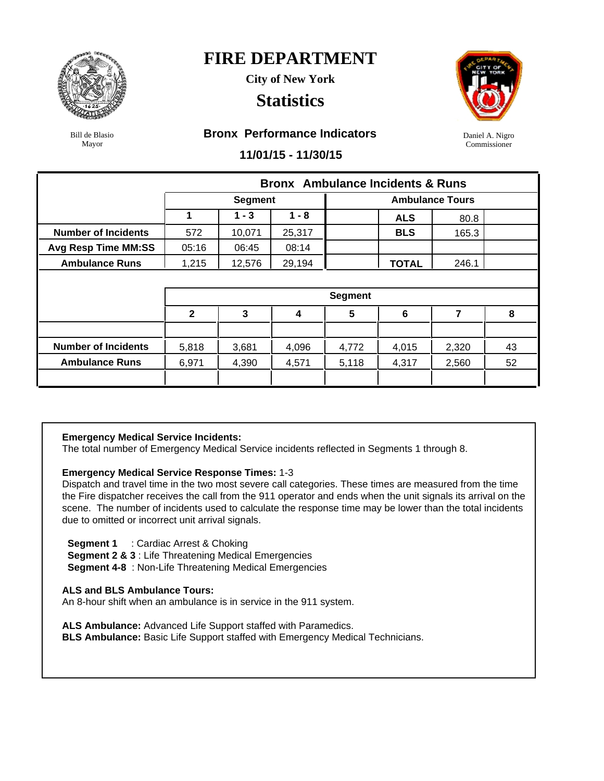

**City of New York**

### **Statistics**



Daniel A. Nigro Commissioner

Bill de Blasio Mayor

#### **Bronx Performance Indicators**

**11/01/15 - 11/30/15**

|                            |              |                |         | <b>Bronx</b> Ambulance Incidents & Runs |              |                        |    |
|----------------------------|--------------|----------------|---------|-----------------------------------------|--------------|------------------------|----|
|                            |              | <b>Segment</b> |         |                                         |              | <b>Ambulance Tours</b> |    |
|                            |              | $1 - 3$        | $1 - 8$ |                                         | <b>ALS</b>   | 80.8                   |    |
| <b>Number of Incidents</b> | 572          | 10,071         | 25,317  |                                         | <b>BLS</b>   | 165.3                  |    |
| <b>Avg Resp Time MM:SS</b> | 05:16        | 06:45          | 08:14   |                                         |              |                        |    |
| <b>Ambulance Runs</b>      | 1,215        | 12,576         | 29,194  |                                         | <b>TOTAL</b> | 246.1                  |    |
|                            |              |                |         |                                         |              |                        |    |
|                            |              |                |         | <b>Segment</b>                          |              |                        |    |
|                            | $\mathbf{2}$ | 3              | 4       | 5                                       | 6            | $\overline{7}$         | 8  |
|                            |              |                |         |                                         |              |                        |    |
| <b>Number of Incidents</b> | 5,818        | 3,681          | 4,096   | 4,772                                   | 4,015        | 2,320                  | 43 |
| <b>Ambulance Runs</b>      | 6,971        | 4,390          | 4,571   | 5,118                                   | 4,317        | 2,560                  | 52 |
|                            |              |                |         |                                         |              |                        |    |

#### **Emergency Medical Service Incidents:**

The total number of Emergency Medical Service incidents reflected in Segments 1 through 8.

#### **Emergency Medical Service Response Times:** 1-3

Dispatch and travel time in the two most severe call categories. These times are measured from the time the Fire dispatcher receives the call from the 911 operator and ends when the unit signals its arrival on the scene. The number of incidents used to calculate the response time may be lower than the total incidents due to omitted or incorrect unit arrival signals.

 **Segment 1** : Cardiac Arrest & Choking

**Segment 2 & 3** : Life Threatening Medical Emergencies

**Segment 4-8** : Non-Life Threatening Medical Emergencies

#### **ALS and BLS Ambulance Tours:**

An 8-hour shift when an ambulance is in service in the 911 system.

**ALS Ambulance:** Advanced Life Support staffed with Paramedics.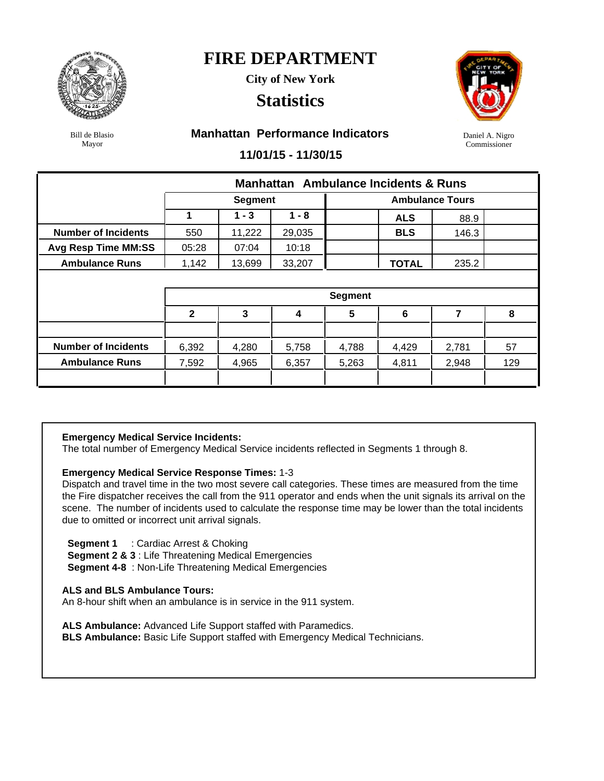

**City of New York**

### **Statistics**



Bill de Blasio Mayor

#### **Manhattan Performance Indicators**

Daniel A. Nigro Commissioner

#### **11/01/15 - 11/30/15**

|                            |              | <b>Manhattan</b> Ambulance Incidents & Runs |         |                |              |                        |     |  |  |  |  |  |
|----------------------------|--------------|---------------------------------------------|---------|----------------|--------------|------------------------|-----|--|--|--|--|--|
|                            |              | <b>Segment</b>                              |         |                |              | <b>Ambulance Tours</b> |     |  |  |  |  |  |
|                            | 1            | $1 - 3$                                     | $1 - 8$ |                | <b>ALS</b>   | 88.9                   |     |  |  |  |  |  |
| <b>Number of Incidents</b> | 550          | 11,222                                      | 29,035  |                | <b>BLS</b>   | 146.3                  |     |  |  |  |  |  |
| <b>Avg Resp Time MM:SS</b> | 05:28        | 07:04                                       | 10:18   |                |              |                        |     |  |  |  |  |  |
| <b>Ambulance Runs</b>      | 1,142        | 13,699                                      | 33,207  |                | <b>TOTAL</b> | 235.2                  |     |  |  |  |  |  |
|                            |              |                                             |         |                |              |                        |     |  |  |  |  |  |
|                            |              |                                             |         | <b>Segment</b> |              |                        |     |  |  |  |  |  |
|                            | $\mathbf{2}$ | 3                                           | 4       | $5\phantom{1}$ | 6            | 7                      | 8   |  |  |  |  |  |
|                            |              |                                             |         |                |              |                        |     |  |  |  |  |  |
|                            |              |                                             |         |                |              |                        |     |  |  |  |  |  |
| <b>Number of Incidents</b> | 6,392        | 4,280                                       | 5,758   | 4,788          | 4,429        | 2,781                  | 57  |  |  |  |  |  |
| <b>Ambulance Runs</b>      | 7,592        | 4,965                                       | 6,357   | 5,263          | 4,811        | 2,948                  | 129 |  |  |  |  |  |

#### **Emergency Medical Service Incidents:**

The total number of Emergency Medical Service incidents reflected in Segments 1 through 8.

#### **Emergency Medical Service Response Times:** 1-3

Dispatch and travel time in the two most severe call categories. These times are measured from the time the Fire dispatcher receives the call from the 911 operator and ends when the unit signals its arrival on the scene. The number of incidents used to calculate the response time may be lower than the total incidents due to omitted or incorrect unit arrival signals.

 **Segment 1** : Cardiac Arrest & Choking

**Segment 2 & 3** : Life Threatening Medical Emergencies

**Segment 4-8** : Non-Life Threatening Medical Emergencies

#### **ALS and BLS Ambulance Tours:**

An 8-hour shift when an ambulance is in service in the 911 system.

**ALS Ambulance:** Advanced Life Support staffed with Paramedics.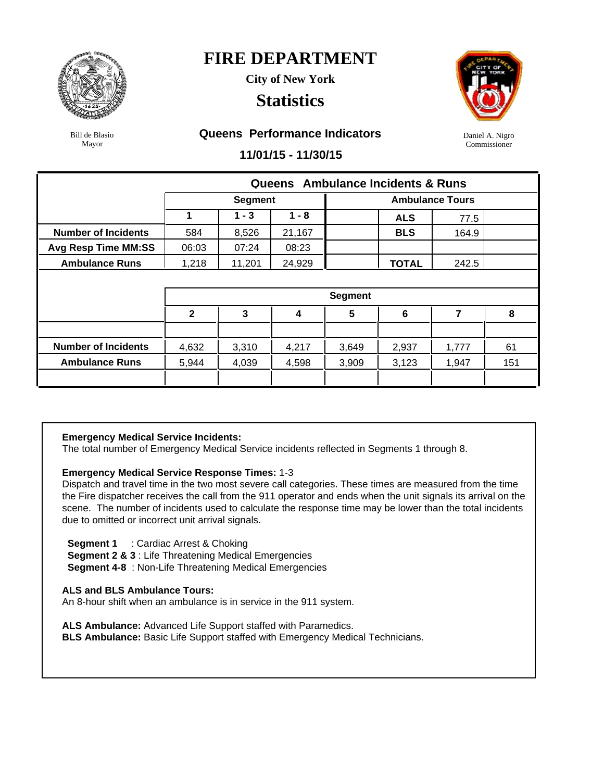

**City of New York**

### **Statistics**



Daniel A. Nigro Commissioner

Bill de Blasio Mayor

#### **Queens Performance Indicators**

**11/01/15 - 11/30/15**

|                            |              | Queens Ambulance Incidents & Runs |         |                 |              |                        |     |  |  |  |  |  |  |
|----------------------------|--------------|-----------------------------------|---------|-----------------|--------------|------------------------|-----|--|--|--|--|--|--|
|                            |              | <b>Segment</b>                    |         |                 |              | <b>Ambulance Tours</b> |     |  |  |  |  |  |  |
|                            | 1            | $1 - 3$                           | $1 - 8$ |                 | <b>ALS</b>   | 77.5                   |     |  |  |  |  |  |  |
| <b>Number of Incidents</b> | 584          | 8,526                             | 21,167  |                 | <b>BLS</b>   | 164.9                  |     |  |  |  |  |  |  |
| <b>Avg Resp Time MM:SS</b> | 06:03        | 07:24                             | 08:23   |                 |              |                        |     |  |  |  |  |  |  |
| <b>Ambulance Runs</b>      | 1,218        | 11,201                            | 24,929  |                 | <b>TOTAL</b> | 242.5                  |     |  |  |  |  |  |  |
|                            |              |                                   |         |                 |              |                        |     |  |  |  |  |  |  |
|                            |              |                                   |         | <b>Segment</b>  |              |                        |     |  |  |  |  |  |  |
|                            | $\mathbf{2}$ | 3                                 | 4       | $5\phantom{.0}$ | 6            | 7                      | 8   |  |  |  |  |  |  |
|                            |              |                                   |         |                 |              |                        |     |  |  |  |  |  |  |
| <b>Number of Incidents</b> | 4,632        | 3,310                             | 4,217   | 3,649           | 2,937        | 1,777                  | 61  |  |  |  |  |  |  |
| <b>Ambulance Runs</b>      |              | 4,039                             | 4,598   | 3,909           | 3,123        | 1,947                  | 151 |  |  |  |  |  |  |
|                            | 5,944        |                                   |         |                 |              |                        |     |  |  |  |  |  |  |

#### **Emergency Medical Service Incidents:**

The total number of Emergency Medical Service incidents reflected in Segments 1 through 8.

#### **Emergency Medical Service Response Times:** 1-3

Dispatch and travel time in the two most severe call categories. These times are measured from the time the Fire dispatcher receives the call from the 911 operator and ends when the unit signals its arrival on the scene. The number of incidents used to calculate the response time may be lower than the total incidents due to omitted or incorrect unit arrival signals.

 **Segment 1** : Cardiac Arrest & Choking

**Segment 2 & 3** : Life Threatening Medical Emergencies

**Segment 4-8** : Non-Life Threatening Medical Emergencies

#### **ALS and BLS Ambulance Tours:**

An 8-hour shift when an ambulance is in service in the 911 system.

**ALS Ambulance:** Advanced Life Support staffed with Paramedics.